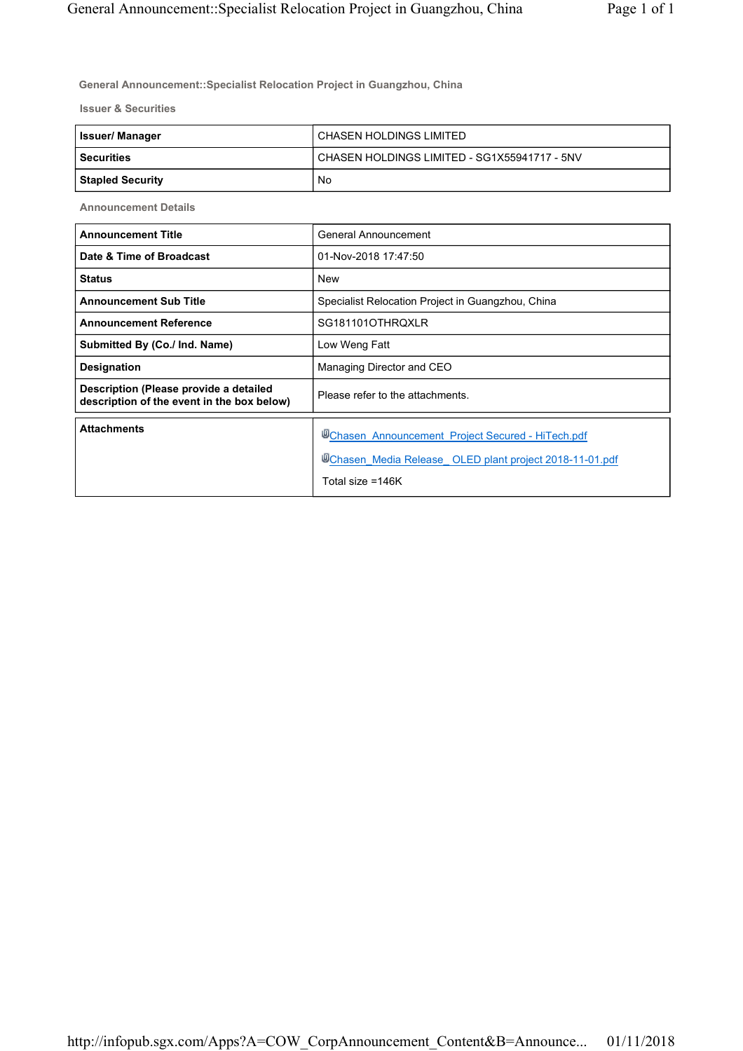**General Announcement::Specialist Relocation Project in Guangzhou, China**

**Issuer & Securities**

| <b>Issuer/Manager</b>   | CHASEN HOLDINGS LIMITED                      |
|-------------------------|----------------------------------------------|
| l Securities            | CHASEN HOLDINGS LIMITED - SG1X55941717 - 5NV |
| <b>Stapled Security</b> | No                                           |

**Announcement Details**

| <b>Announcement Title</b>                                                            | General Announcement                                                                                                            |
|--------------------------------------------------------------------------------------|---------------------------------------------------------------------------------------------------------------------------------|
| Date & Time of Broadcast                                                             | 01-Nov-2018 17:47:50                                                                                                            |
| <b>Status</b>                                                                        | <b>New</b>                                                                                                                      |
| <b>Announcement Sub Title</b>                                                        | Specialist Relocation Project in Guangzhou, China                                                                               |
| <b>Announcement Reference</b>                                                        | SG181101OTHRQXLR                                                                                                                |
| Submitted By (Co./ Ind. Name)                                                        | Low Weng Fatt                                                                                                                   |
| <b>Designation</b>                                                                   | Managing Director and CEO                                                                                                       |
| Description (Please provide a detailed<br>description of the event in the box below) | Please refer to the attachments.                                                                                                |
| <b>Attachments</b>                                                                   | Chasen Announcement Project Secured - HiTech.pdf<br>UChasen Media Release OLED plant project 2018-11-01.pdf<br>Total size =146K |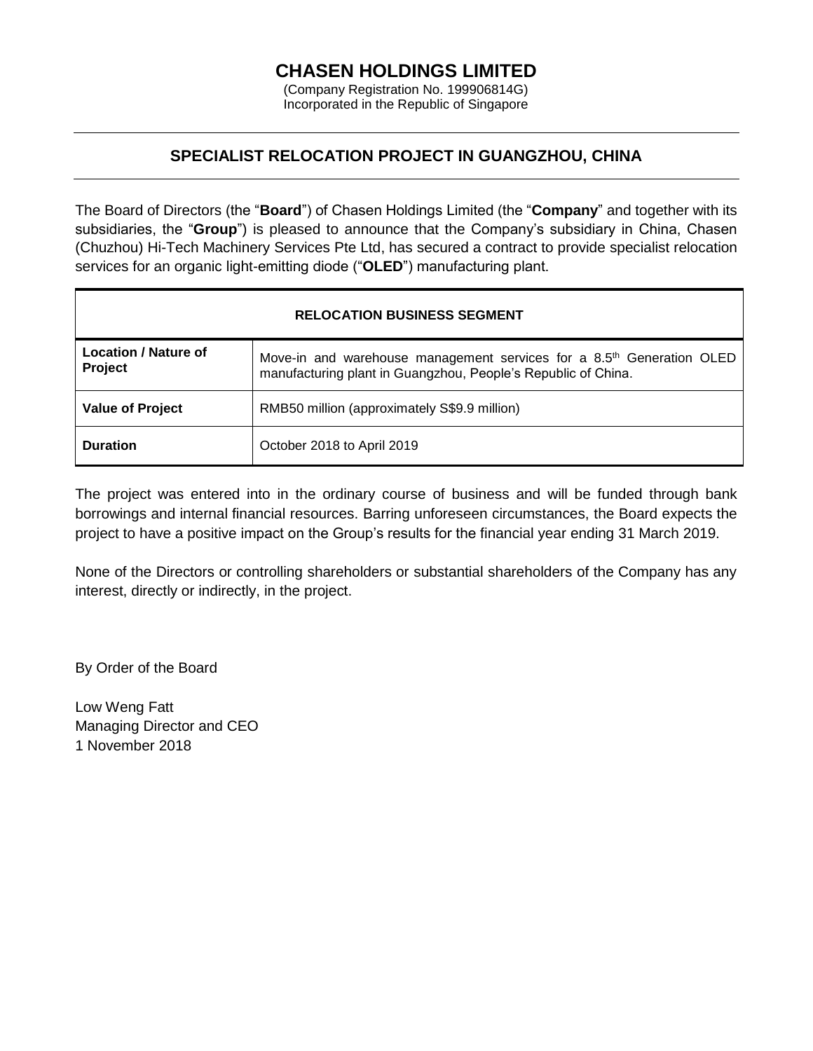## **CHASEN HOLDINGS LIMITED**

(Company Registration No. 199906814G) Incorporated in the Republic of Singapore

### **SPECIALIST RELOCATION PROJECT IN GUANGZHOU, CHINA**

The Board of Directors (the "**Board**") of Chasen Holdings Limited (the "**Company**" and together with its subsidiaries, the "**Group**") is pleased to announce that the Company's subsidiary in China, Chasen (Chuzhou) Hi-Tech Machinery Services Pte Ltd, has secured a contract to provide specialist relocation services for an organic light-emitting diode ("**OLED**") manufacturing plant.

| <b>RELOCATION BUSINESS SEGMENT</b>            |                                                                                                                                                    |  |
|-----------------------------------------------|----------------------------------------------------------------------------------------------------------------------------------------------------|--|
| <b>Location / Nature of</b><br><b>Project</b> | Move-in and warehouse management services for a 8.5 <sup>th</sup> Generation OLED<br>manufacturing plant in Guangzhou, People's Republic of China. |  |
| <b>Value of Project</b>                       | RMB50 million (approximately S\$9.9 million)                                                                                                       |  |
| <b>Duration</b>                               | October 2018 to April 2019                                                                                                                         |  |

The project was entered into in the ordinary course of business and will be funded through bank borrowings and internal financial resources. Barring unforeseen circumstances, the Board expects the project to have a positive impact on the Group's results for the financial year ending 31 March 2019.

None of the Directors or controlling shareholders or substantial shareholders of the Company has any interest, directly or indirectly, in the project.

By Order of the Board

Low Weng Fatt Managing Director and CEO 1 November 2018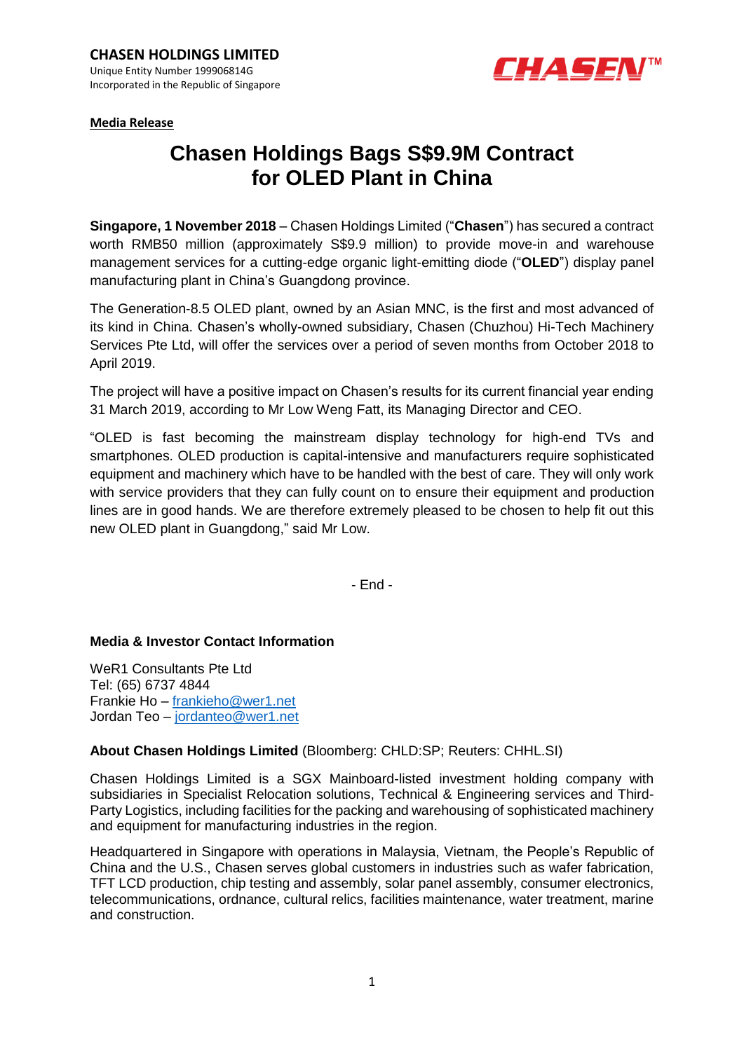

**Media Release** 

# **Chasen Holdings Bags S\$9.9M Contract for OLED Plant in China**

**Singapore, 1 November 2018** – Chasen Holdings Limited ("**Chasen**") has secured a contract worth RMB50 million (approximately S\$9.9 million) to provide move-in and warehouse management services for a cutting-edge organic light-emitting diode ("**OLED**") display panel manufacturing plant in China's Guangdong province.

The Generation-8.5 OLED plant, owned by an Asian MNC, is the first and most advanced of its kind in China. Chasen's wholly-owned subsidiary, Chasen (Chuzhou) Hi-Tech Machinery Services Pte Ltd, will offer the services over a period of seven months from October 2018 to April 2019.

The project will have a positive impact on Chasen's results for its current financial year ending 31 March 2019, according to Mr Low Weng Fatt, its Managing Director and CEO.

"OLED is fast becoming the mainstream display technology for high-end TVs and smartphones. OLED production is capital-intensive and manufacturers require sophisticated equipment and machinery which have to be handled with the best of care. They will only work with service providers that they can fully count on to ensure their equipment and production lines are in good hands. We are therefore extremely pleased to be chosen to help fit out this new OLED plant in Guangdong," said Mr Low.

- End -

#### **Media & Investor Contact Information**

WeR1 Consultants Pte Ltd Tel: (65) 6737 4844 Frankie Ho – [frankieho@wer1.net](mailto:frankieho@wer1.net) Jordan Teo – [jordanteo@wer1.net](mailto:jordanteo@wer1.net)

### **About Chasen Holdings Limited** (Bloomberg: CHLD:SP; Reuters: CHHL.SI)

Chasen Holdings Limited is a SGX Mainboard-listed investment holding company with subsidiaries in Specialist Relocation solutions, Technical & Engineering services and Third-Party Logistics, including facilities for the packing and warehousing of sophisticated machinery and equipment for manufacturing industries in the region.

Headquartered in Singapore with operations in Malaysia, Vietnam, the People's Republic of China and the U.S., Chasen serves global customers in industries such as wafer fabrication, TFT LCD production, chip testing and assembly, solar panel assembly, consumer electronics, telecommunications, ordnance, cultural relics, facilities maintenance, water treatment, marine and construction.